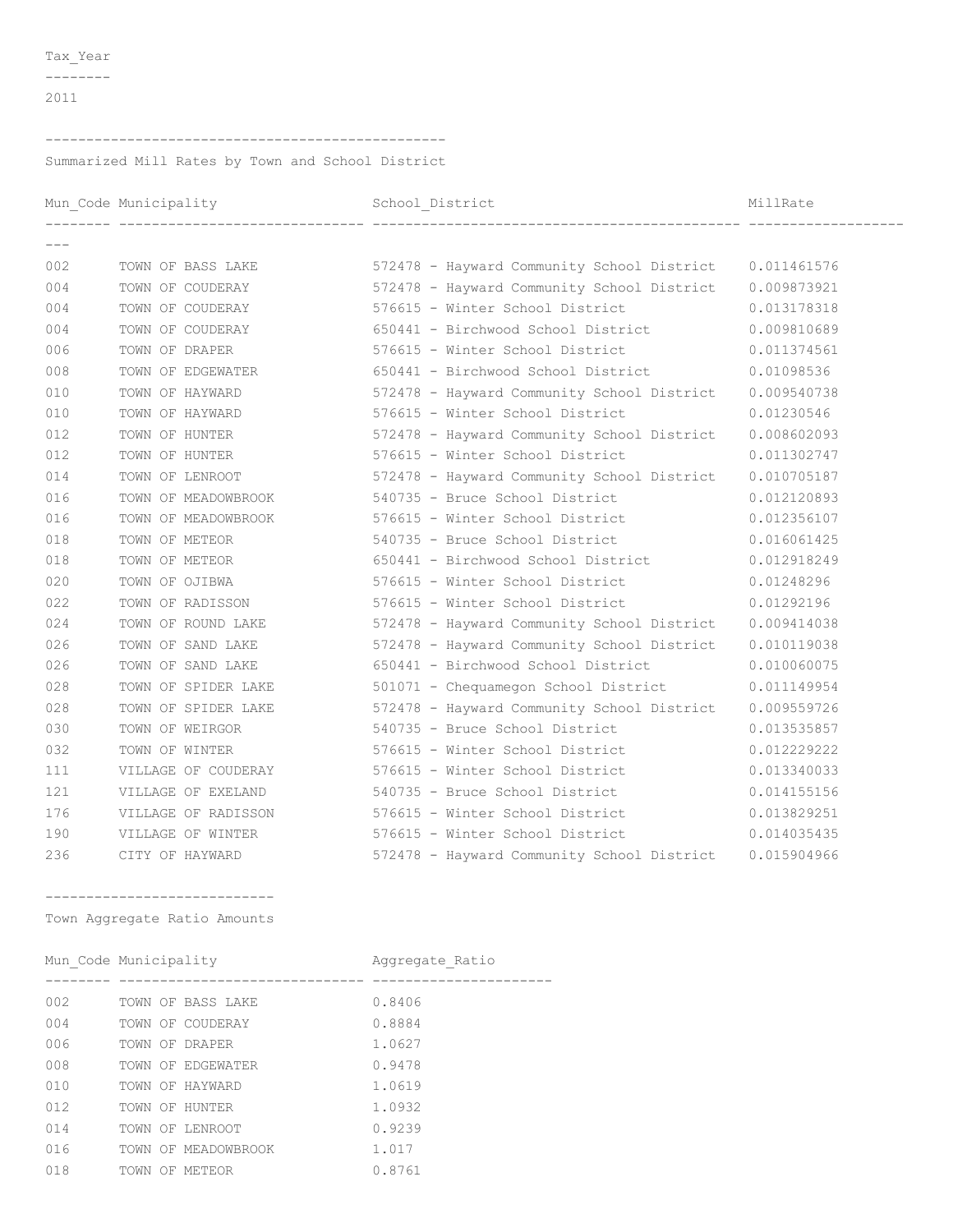Tax\_Year

 $-----  
---  
---$ 

## 

Summarized Mill Rates by Town and School District

|       | Mun_Code Municipality |                                                                         | MillRate    |
|-------|-----------------------|-------------------------------------------------------------------------|-------------|
| $---$ |                       | -------------------------------- ----                                   |             |
| 002   | TOWN OF BASS LAKE     | 572478 - Hayward Community School District 0.011461576                  |             |
| 004   |                       | TOWN OF COUDERAY 572478 - Hayward Community School District 0.009873921 |             |
| 004   | TOWN OF COUDERAY      | 576615 - Winter School District                                         | 0.013178318 |
| 004   | TOWN OF COUDERAY      | 650441 - Birchwood School District                                      | 0.009810689 |
| 006   | TOWN OF DRAPER        | 576615 - Winter School District                                         | 0.011374561 |
| 008   | TOWN OF EDGEWATER     | 650441 - Birchwood School District                                      | 0.01098536  |
| 010   | TOWN OF HAYWARD       | 572478 - Hayward Community School District 0.009540738                  |             |
| 010   | TOWN OF HAYWARD       | 576615 - Winter School District                                         | 0.01230546  |
| 012   | TOWN OF HUNTER        | 572478 - Hayward Community School District                              | 0.008602093 |
| 012   | TOWN OF HUNTER        | 576615 - Winter School District                                         | 0.011302747 |
| 014   | TOWN OF LENROOT       | 572478 - Hayward Community School District                              | 0.010705187 |
| 016   | TOWN OF MEADOWBROOK   | 540735 - Bruce School District                                          | 0.012120893 |
| 016   | TOWN OF MEADOWBROOK   | 576615 - Winter School District                                         | 0.012356107 |
| 018   | TOWN OF METEOR        | 540735 - Bruce School District                                          | 0.016061425 |
| 018   | TOWN OF METEOR        | 650441 - Birchwood School District                                      | 0.012918249 |
| 020   | TOWN OF OJIBWA        | 576615 - Winter School District                                         | 0.01248296  |
| 022   | TOWN OF RADISSON      | 576615 - Winter School District                                         | 0.01292196  |
| 024   | TOWN OF ROUND LAKE    | 572478 - Hayward Community School District 0.009414038                  |             |
| 026   | TOWN OF SAND LAKE     | 572478 - Hayward Community School District 0.010119038                  |             |
| 026   | TOWN OF SAND LAKE     | 650441 - Birchwood School District                                      | 0.010060075 |
| 028   | TOWN OF SPIDER LAKE   | 501071 - Chequamegon School District                                    | 0.011149954 |
| 028   | TOWN OF SPIDER LAKE   | 572478 - Hayward Community School District                              | 0.009559726 |
| 030   | TOWN OF WEIRGOR       | 540735 - Bruce School District                                          | 0.013535857 |
| 032   | TOWN OF WINTER        | 576615 - Winter School District                                         | 0.012229222 |
| 111   | VILLAGE OF COUDERAY   | 576615 - Winter School District                                         | 0.013340033 |
| 121   | VILLAGE OF EXELAND    | 540735 - Bruce School District                                          | 0.014155156 |
| 176   | VILLAGE OF RADISSON   | 576615 - Winter School District                                         | 0.013829251 |
| 190   | VILLAGE OF WINTER     | 576615 - Winter School District                                         | 0.014035435 |
| 236   | CITY OF HAYWARD       | 572478 - Hayward Community School District 0.015904966                  |             |
|       |                       |                                                                         |             |

\_\_\_\_\_\_\_\_\_\_\_\_\_\_\_\_\_\_\_\_\_\_\_\_\_\_\_\_\_\_ Town Aggregate Ratio Amounts

|     | Mun Code Municipality |  |                     | Aggregate Ratio |  |
|-----|-----------------------|--|---------------------|-----------------|--|
|     |                       |  |                     |                 |  |
| 002 |                       |  | TOWN OF BASS LAKE   | 0.8406          |  |
| 004 |                       |  | TOWN OF COUDERAY    | 0.8884          |  |
| 006 |                       |  | TOWN OF DRAPER      | 1.0627          |  |
| 008 |                       |  | TOWN OF EDGEWATER   | 0.9478          |  |
| 010 |                       |  | TOWN OF HAYWARD     | 1.0619          |  |
| 012 |                       |  | TOWN OF HUNTER      | 1.0932          |  |
| 014 |                       |  | TOWN OF LENROOT     | 0.9239          |  |
| 016 |                       |  | TOWN OF MEADOWBROOK | 1.017           |  |
| 018 |                       |  | TOWN OF METEOR      | 0.8761          |  |
|     |                       |  |                     |                 |  |